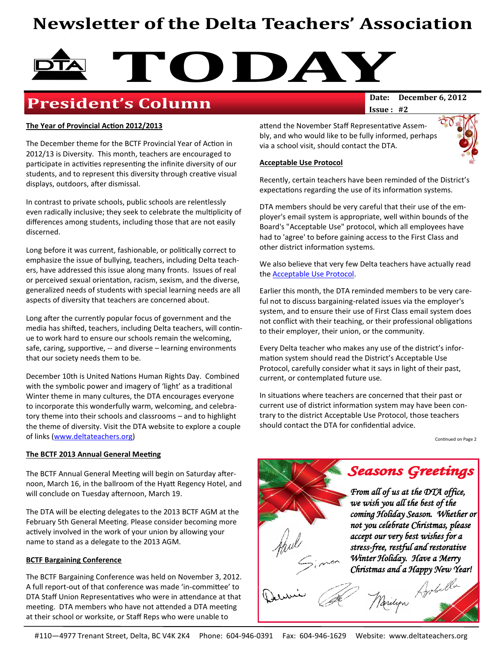# **Newsletter of the Delta Teachers' Association**



## **President's Column**

**Issue : #2**

#### **The Year of Provincial Action 2012/2013**

The December theme for the BCTF Provincial Year of Action in 2012/13 is Diversity. This month, teachers are encouraged to participate in activities representing the infinite diversity of our students, and to represent this diversity through creative visual displays, outdoors, after dismissal.

In contrast to private schools, public schools are relentlessly even radically inclusive; they seek to celebrate the multiplicity of differences among students, including those that are not easily discerned.

Long before it was current, fashionable, or politically correct to emphasize the issue of bullying, teachers, including Delta teachers, have addressed this issue along many fronts. Issues of real or perceived sexual orientation, racism, sexism, and the diverse, generalized needs of students with special learning needs are all aspects of diversity that teachers are concerned about.

Long after the currently popular focus of government and the media has shifted, teachers, including Delta teachers, will continue to work hard to ensure our schools remain the welcoming, safe, caring, supportive, -- and diverse – learning environments that our society needs them to be.

December 10th is United Nations Human Rights Day. Combined with the symbolic power and imagery of 'light' as a traditional Winter theme in many cultures, the DTA encourages everyone to incorporate this wonderfully warm, welcoming, and celebratory theme into their schools and classrooms – and to highlight the theme of diversity. Visit the DTA website to explore a couple of links ([www.deltateachers.org\)](http://www.deltateachers.org)

#### **The BCTF 2013 Annual General Meeting**

The BCTF Annual General Meeting will begin on Saturday afternoon, March 16, in the ballroom of the Hyatt Regency Hotel, and will conclude on Tuesday afternoon, March 19.

The DTA will be electing delegates to the 2013 BCTF AGM at the February 5th General Meeting. Please consider becoming more actively involved in the work of your union by allowing your name to stand as a delegate to the 2013 AGM.

#### **BCTF Bargaining Conference**

The BCTF Bargaining Conference was held on November 3, 2012. A full report-out of that conference was made 'in-committee' to DTA Staff Union Representatives who were in attendance at that meeting. DTA members who have not attended a DTA meeting at their school or worksite, or Staff Reps who were unable to

attend the November Staff Representative Assembly, and who would like to be fully informed, perhaps via a school visit, should contact the DTA.



#### **Acceptable Use Protocol**

Recently, certain teachers have been reminded of the District's expectations regarding the use of its information systems.

DTA members should be very careful that their use of the employer's email system is appropriate, well within bounds of the Board's "Acceptable Use" protocol, which all employees have had to 'agree' to before gaining access to the First Class and other district information systems.

We also believe that very few Delta teachers have actually read the [Acceptable Use Protocol.](http://web.deltasd.bc.ca/sites/files/shared/procedure11313.pdf)

Earlier this month, the DTA reminded members to be very careful not to discuss bargaining-related issues via the employer's system, and to ensure their use of First Class email system does not conflict with their teaching, or their professional obligations to their employer, their union, or the community.

Every Delta teacher who makes any use of the district's information system should read the District's Acceptable Use Protocol, carefully consider what it says in light of their past, current, or contemplated future use.

In situations where teachers are concerned that their past or current use of district information system may have been contrary to the district Acceptable Use Protocol, those teachers should contact the DTA for confidential advice.

Continued on Page 2